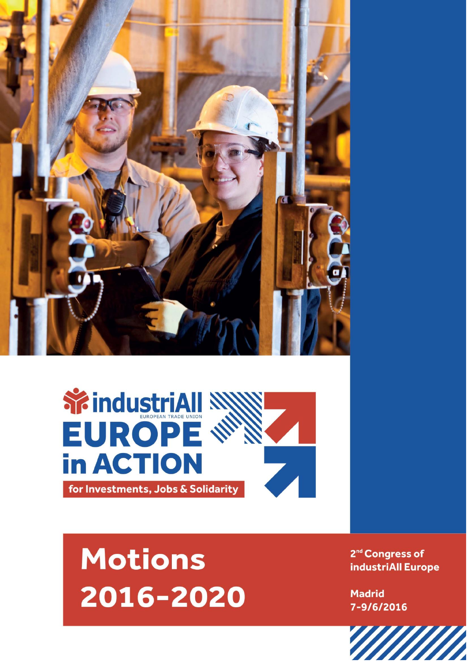



## **Motions** 2016-2020

2<sup>nd</sup> Congress of industriAll Europe

**Madrid** 7-9/6/2016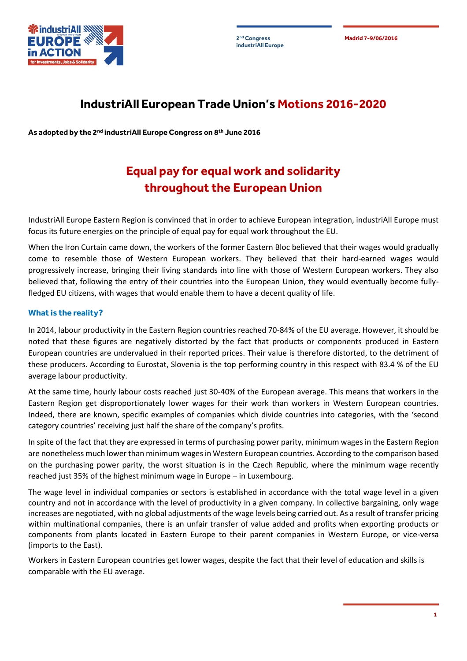**industriAll Europe**

**2 Madrid 7-9/06/2016 nd Congress**



## **IndustriAll European Trade Union's Motions 2016-2020**

**As adopted by the 2nd industriAll Europe Congress on 8th June 2016**

## **Equal pay for equal work and solidarity throughout the European Union**

IndustriAll Europe Eastern Region is convinced that in order to achieve European integration, industriAll Europe must focus its future energies on the principle of equal pay for equal work throughout the EU.

When the Iron Curtain came down, the workers of the former Eastern Bloc believed that their wages would gradually come to resemble those of Western European workers. They believed that their hard-earned wages would progressively increase, bringing their living standards into line with those of Western European workers. They also believed that, following the entry of their countries into the European Union, they would eventually become fullyfledged EU citizens, with wages that would enable them to have a decent quality of life.

## **What is the reality?**

In 2014, labour productivity in the Eastern Region countries reached 70-84% of the EU average. However, it should be noted that these figures are negatively distorted by the fact that products or components produced in Eastern European countries are undervalued in their reported prices. Their value is therefore distorted, to the detriment of these producers. According to Eurostat, Slovenia is the top performing country in this respect with 83.4 % of the EU average labour productivity.

At the same time, hourly labour costs reached just 30-40% of the European average. This means that workers in the Eastern Region get disproportionately lower wages for their work than workers in Western European countries. Indeed, there are known, specific examples of companies which divide countries into categories, with the 'second category countries' receiving just half the share of the company's profits.

In spite of the fact that they are expressed in terms of purchasing power parity, minimum wages in the Eastern Region are nonetheless much lower than minimum wages in Western European countries. According to the comparison based on the purchasing power parity, the worst situation is in the Czech Republic, where the minimum wage recently reached just 35% of the highest minimum wage in Europe – in Luxembourg.

The wage level in individual companies or sectors is established in accordance with the total wage level in a given country and not in accordance with the level of productivity in a given company. In collective bargaining, only wage increases are negotiated, with no global adjustments of the wage levels being carried out. As a result of transfer pricing within multinational companies, there is an unfair transfer of value added and profits when exporting products or components from plants located in Eastern Europe to their parent companies in Western Europe, or vice-versa (imports to the East).

Workers in Eastern European countries get lower wages, despite the fact that their level of education and skills is comparable with the EU average.